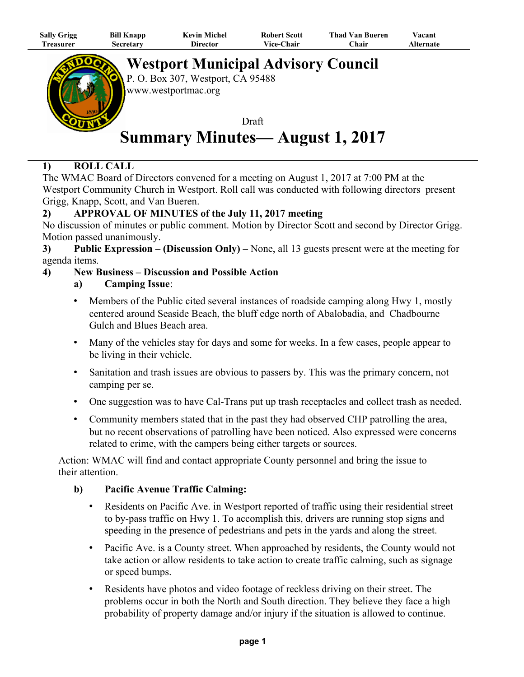| <b>Sally Grigg</b> | <b>Bill Knapp</b> | <b>Kevin Michel</b> | <b>Robert Scott</b> | <b>Thad Van Bueren</b> | Vacant    |
|--------------------|-------------------|---------------------|---------------------|------------------------|-----------|
| <b>Treasurer</b>   | Secretary         | Director            | <b>Vice-Chair</b>   | ⊡hair                  | Alternate |
|                    |                   |                     |                     |                        |           |



**Westport Municipal Advisory Council**

P. O. Box 307, Westport, CA 95488 www.westportmac.org

Draft **Summary Minutes— August 1, 2017**

# **1) ROLL CALL**

The WMAC Board of Directors convened for a meeting on August 1, 2017 at 7:00 PM at the Westport Community Church in Westport. Roll call was conducted with following directors present Grigg, Knapp, Scott, and Van Bueren.

# **2) APPROVAL OF MINUTES of the July 11, 2017 meeting**

No discussion of minutes or public comment. Motion by Director Scott and second by Director Grigg. Motion passed unanimously.

**3) Public Expression – (Discussion Only) –** None, all 13 guests present were at the meeting for agenda items.

## **4) New Business – Discussion and Possible Action**

## **a) Camping Issue**:

- Members of the Public cited several instances of roadside camping along Hwy 1, mostly centered around Seaside Beach, the bluff edge north of Abalobadia, and Chadbourne Gulch and Blues Beach area.
- Many of the vehicles stay for days and some for weeks. In a few cases, people appear to be living in their vehicle.
- Sanitation and trash issues are obvious to passers by. This was the primary concern, not camping per se.
- One suggestion was to have Cal-Trans put up trash receptacles and collect trash as needed.
- Community members stated that in the past they had observed CHP patrolling the area, but no recent observations of patrolling have been noticed. Also expressed were concerns related to crime, with the campers being either targets or sources.

Action: WMAC will find and contact appropriate County personnel and bring the issue to their attention.

# **b) Pacific Avenue Traffic Calming:**

- Residents on Pacific Ave. in Westport reported of traffic using their residential street to by-pass traffic on Hwy 1. To accomplish this, drivers are running stop signs and speeding in the presence of pedestrians and pets in the yards and along the street.
- Pacific Ave. is a County street. When approached by residents, the County would not take action or allow residents to take action to create traffic calming, such as signage or speed bumps.
- Residents have photos and video footage of reckless driving on their street. The problems occur in both the North and South direction. They believe they face a high probability of property damage and/or injury if the situation is allowed to continue.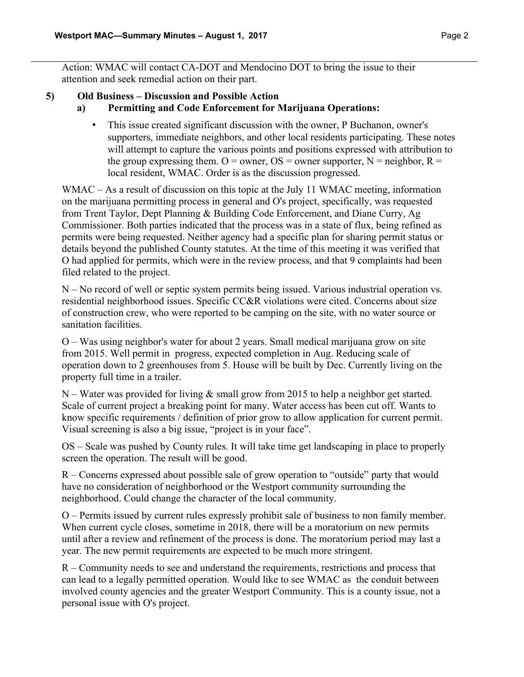Action: WMAC will contact CA-DOT and Mendocino DOT to bring the issue to their attention and seek remedial action on their part.

### **5) Old Business – Discussion and Possible Action**

#### **a) Permitting and Code Enforcement for Marijuana Operations:**

• This issue created significant discussion with the owner, P Buchanon, owner's supporters, immediate neighbors, and other local residents participating. These notes will attempt to capture the various points and positions expressed with attribution to the group expressing them. O = owner, OS = owner supporter, N = neighbor, R = local resident, WMAC. Order is as the discussion progressed.

WMAC – As a result of discussion on this topic at the July 11 WMAC meeting, information on the marijuana permitting process in general and O's project, specifically, was requested from Trent Taylor, Dept Planning & Building Code Enforcement, and Diane Curry, Ag Commissioner. Both parties indicated that the process was in a state of flux, being refined as permits were being requested. Neither agency had a specific plan for sharing permit status or details beyond the published County statutes. At the time of this meeting it was verified that O had applied for permits, which were in the review process, and that 9 complaints had been filed related to the project.

N – No record of well or septic system permits being issued. Various industrial operation vs. residential neighborhood issues. Specific CC&R violations were cited. Concerns about size of construction crew, who were reported to be camping on the site, with no water source or sanitation facilities.

O – Was using neighbor's water for about 2 years. Small medical marijuana grow on site from 2015. Well permit in progress, expected completion in Aug. Reducing scale of operation down to 2 greenhouses from 5. House will be built by Dec. Currently living on the property full time in a trailer.

N – Water was provided for living  $\&$  small grow from 2015 to help a neighbor get started. Scale of current project a breaking point for many. Water access has been cut off. Wants to know specific requirements / definition of prior grow to allow application for current permit. Visual screening is also a big issue, "project is in your face".

OS – Scale was pushed by County rules. It will take time get landscaping in place to properly screen the operation. The result will be good.

R – Concerns expressed about possible sale of grow operation to "outside" party that would have no consideration of neighborhood or the Westport community surrounding the neighborhood. Could change the character of the local community.

O – Permits issued by current rules expressly prohibit sale of business to non family member. When current cycle closes, sometime in 2018, there will be a moratorium on new permits until after a review and refinement of the process is done. The moratorium period may last a year. The new permit requirements are expected to be much more stringent.

R – Community needs to see and understand the requirements, restrictions and process that can lead to a legally permitted operation. Would like to see WMAC as the conduit between involved county agencies and the greater Westport Community. This is a county issue, not a personal issue with O's project.